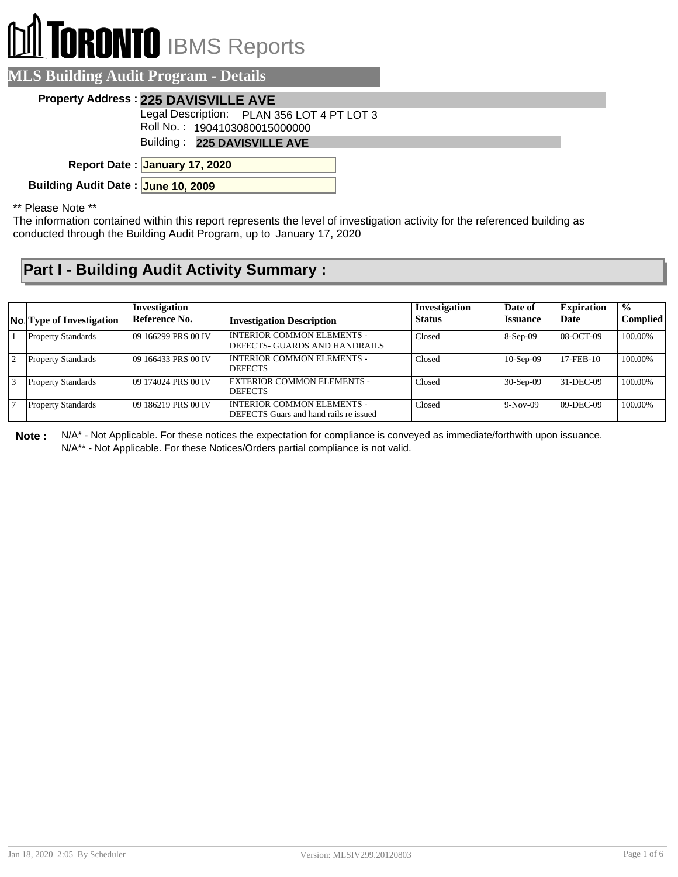## II TORONTO IBMS Reports  $\mathbb{D}$

| <b>MLS Building Audit Program - Details</b>                                 |  |  |  |
|-----------------------------------------------------------------------------|--|--|--|
| Property Address: 225 DAVISVILLE AVE                                        |  |  |  |
| Legal Description: PLAN 356 LOT 4 PT LOT 3<br>Roll No.: 1904103080015000000 |  |  |  |
| Building: 225 DAVISVILLE AVE                                                |  |  |  |
| Report Date: January 17, 2020                                               |  |  |  |
| Building Audit Date: June 10, 2009                                          |  |  |  |
|                                                                             |  |  |  |

\*\* Please Note \*\*

The information contained within this report represents the level of investigation activity for the referenced building as conducted through the Building Audit Program, up to January 17, 2020

## **Part I - Building Audit Activity Summary :**

|                | <b>No.</b> Type of Investigation | Investigation<br>Reference No. | <b>Investigation Description</b>                                            | Investigation<br><b>Status</b> | Date of<br><b>Issuance</b> | <b>Expiration</b><br><b>Date</b> | $\frac{1}{2}$<br><b>Complied</b> |
|----------------|----------------------------------|--------------------------------|-----------------------------------------------------------------------------|--------------------------------|----------------------------|----------------------------------|----------------------------------|
|                | <b>Property Standards</b>        | 09 166299 PRS 00 IV            | <b>INTERIOR COMMON ELEMENTS -</b><br>DEFECTS- GUARDS AND HANDRAILS          | Closed                         | $8-Sep-09$                 | 08-OCT-09                        | 100.00%                          |
| $\overline{2}$ | <b>Property Standards</b>        | 09 166433 PRS 00 IV            | <b>INTERIOR COMMON ELEMENTS -</b><br><b>DEFECTS</b>                         | Closed                         | $10-Sep-09$                | $17$ -FEB- $10$                  | 100.00%                          |
| 3              | <b>Property Standards</b>        | 09 174024 PRS 00 IV            | <b>EXTERIOR COMMON ELEMENTS -</b><br><b>DEFECTS</b>                         | Closed                         | $30-Sep-09$                | 31-DEC-09                        | 100.00%                          |
|                | <b>Property Standards</b>        | 09 186219 PRS 00 IV            | <b>INTERIOR COMMON ELEMENTS -</b><br>DEFECTS Guars and hand rails re issued | Closed                         | $9-Nov-09$                 | $09-DEC-09$                      | 100.00%                          |

**Note :** N/A\* - Not Applicable. For these notices the expectation for compliance is conveyed as immediate/forthwith upon issuance.

N/A\*\* - Not Applicable. For these Notices/Orders partial compliance is not valid.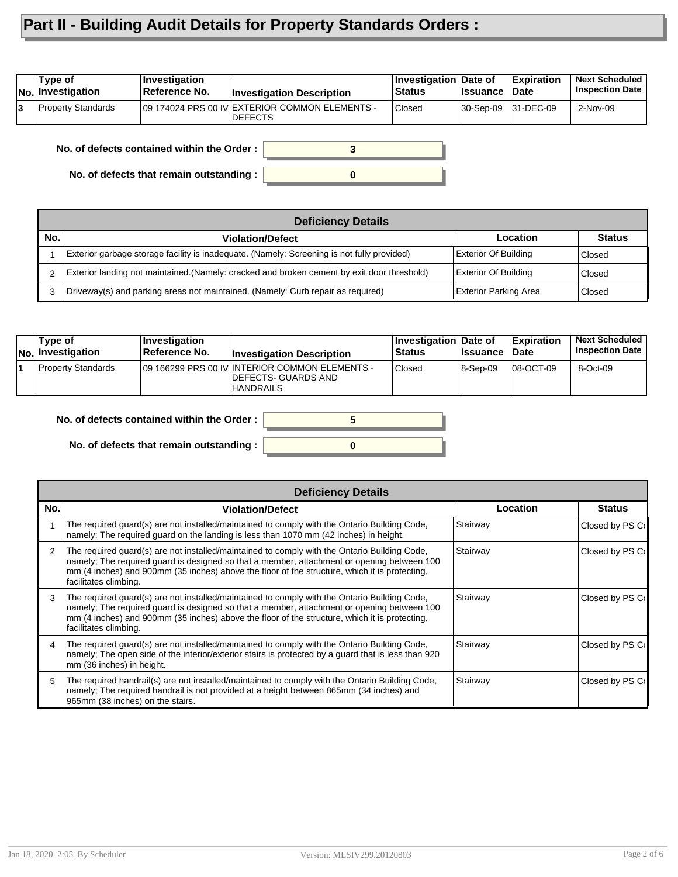## **Part II - Building Audit Details for Property Standards Orders :**

| Type of<br><b>No. Investigation</b> | <b>Investigation</b><br>Reference No. | <b>Investigation Description</b>                                  | Investigation Date of<br>Status | <b>Issuance</b> | <b>Expiration</b><br>Date | <b>Next Scheduled</b><br><b>Inspection Date</b> |
|-------------------------------------|---------------------------------------|-------------------------------------------------------------------|---------------------------------|-----------------|---------------------------|-------------------------------------------------|
| <b>Property Standards</b>           |                                       | 109 174024 PRS 00 IV EXTERIOR COMMON ELEMENTS -<br><b>DEFECTS</b> | Closed                          |                 | 30-Sep-09 31-DEC-09       | 2-Nov-09                                        |

**No. of defects contained within the Order :**

**No. of defects that remain outstanding :**

|     | <b>Deficiency Details</b>                                                                   |                              |               |  |  |  |  |
|-----|---------------------------------------------------------------------------------------------|------------------------------|---------------|--|--|--|--|
| No. | <b>Violation/Defect</b>                                                                     | Location                     | <b>Status</b> |  |  |  |  |
|     | Exterior garbage storage facility is inadequate. (Namely: Screening is not fully provided)  | <b>Exterior Of Building</b>  | Closed        |  |  |  |  |
|     | [Exterior landing not maintained.(Namely: cracked and broken cement by exit door threshold) | <b>Exterior Of Building</b>  | Closed        |  |  |  |  |
| 3   | Driveway(s) and parking areas not maintained. (Namely: Curb repair as required)             | <b>Exterior Parking Area</b> | Closed        |  |  |  |  |

**0**

**3**

| Type of<br><b>No. Investigation</b> | Investigation<br>⊺Reference No. | <b>Investigation Description</b>                                                           | Investigation Date of<br><b>Status</b> | <b>Issuance</b> | <b>Expiration</b><br><b>Date</b> | <b>Next Scheduled</b><br><b>Inspection Date</b> |
|-------------------------------------|---------------------------------|--------------------------------------------------------------------------------------------|----------------------------------------|-----------------|----------------------------------|-------------------------------------------------|
| Property Standards                  |                                 | 109 166299 PRS 00 IV INTERIOR COMMON ELEMENTS -<br>DEFECTS- GUARDS AND<br><b>HANDRAILS</b> | <b>Closed</b>                          | 8-Sep-09        | 08-OCT-09                        | 8-Oct-09                                        |

| No. of defects contained within the Order :      |  |
|--------------------------------------------------|--|
|                                                  |  |
| No. of defects that remain outstanding : $\vert$ |  |

|     | <b>Deficiency Details</b>                                                                                                                                                                                                                                                                                            |          |                  |
|-----|----------------------------------------------------------------------------------------------------------------------------------------------------------------------------------------------------------------------------------------------------------------------------------------------------------------------|----------|------------------|
| No. | <b>Violation/Defect</b>                                                                                                                                                                                                                                                                                              | Location | <b>Status</b>    |
|     | The required guard(s) are not installed/maintained to comply with the Ontario Building Code,<br>namely; The required quard on the landing is less than 1070 mm (42 inches) in height.                                                                                                                                | Stairway | Closed by PS Co  |
|     | The required guard(s) are not installed/maintained to comply with the Ontario Building Code,<br>namely; The required quard is designed so that a member, attachment or opening between 100<br>mm (4 inches) and 900mm (35 inches) above the floor of the structure, which it is protecting,<br>facilitates climbing. | Stairway | Closed by PS Co  |
|     | The required guard(s) are not installed/maintained to comply with the Ontario Building Code,<br>namely; The required guard is designed so that a member, attachment or opening between 100<br>mm (4 inches) and 900mm (35 inches) above the floor of the structure, which it is protecting,<br>facilitates climbing. | Stairway | Closed by PS Co  |
|     | The required quard(s) are not installed/maintained to comply with the Ontario Building Code,<br>namely; The open side of the interior/exterior stairs is protected by a guard that is less than 920<br>mm (36 inches) in height.                                                                                     | Stairway | Closed by PS Co  |
| 5.  | The required handrail(s) are not installed/maintained to comply with the Ontario Building Code,<br>namely; The required handrail is not provided at a height between 865mm (34 inches) and<br>965mm (38 inches) on the stairs.                                                                                       | Stairway | Closed by PS Col |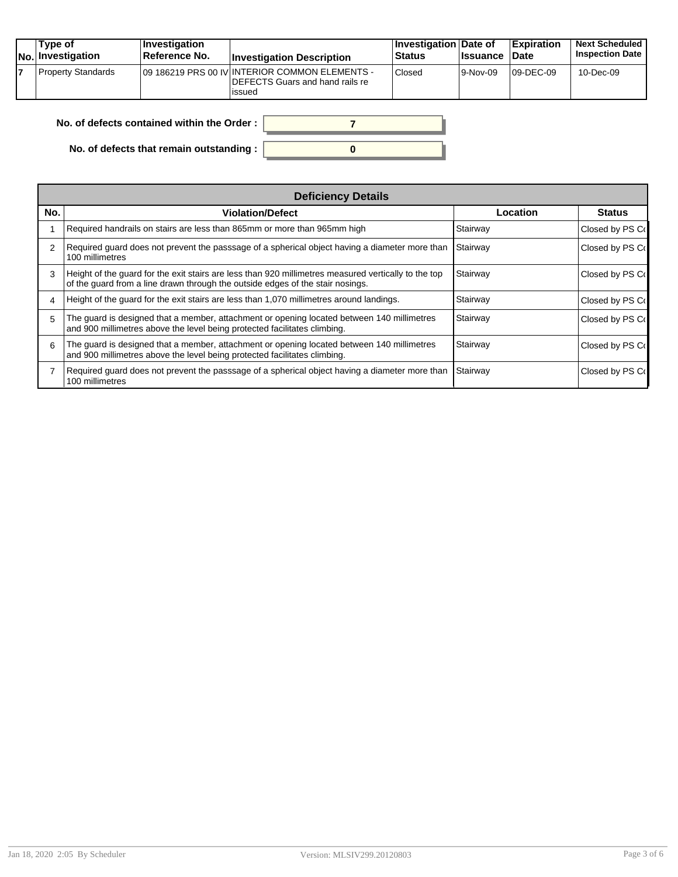| Type of<br><b>No. Investigation</b> | Investigation<br><b>Reference No.</b> | <b>Investigation Description</b>                                                              | Investigation Date of<br>Status | <b>I</b> ssuance | Expiration<br><b>Date</b> | <b>Next Scheduled</b><br><b>Inspection Date I</b> |
|-------------------------------------|---------------------------------------|-----------------------------------------------------------------------------------------------|---------------------------------|------------------|---------------------------|---------------------------------------------------|
| <b>Property Standards</b>           |                                       | 109 186219 PRS 00 IV INTERIOR COMMON ELEMENTS -<br>DEFECTS Guars and hand rails re<br>lissued | Closed                          | 9-Nov-09         | $109$ -DEC-09             | 10-Dec-09                                         |

| No. of defects contained within the Order: |  |
|--------------------------------------------|--|
| No. of defects that remain outstanding :   |  |

| <b>Deficiency Details</b> |                                                                                                                                                                                        |          |                 |  |  |
|---------------------------|----------------------------------------------------------------------------------------------------------------------------------------------------------------------------------------|----------|-----------------|--|--|
| No.                       | <b>Violation/Defect</b>                                                                                                                                                                | Location | <b>Status</b>   |  |  |
|                           | Required handrails on stairs are less than 865mm or more than 965mm high                                                                                                               | Stairway | Closed by PS Co |  |  |
|                           | Required guard does not prevent the passsage of a spherical object having a diameter more than<br>100 millimetres                                                                      | Stairway | Closed by PS Co |  |  |
| 3                         | Height of the guard for the exit stairs are less than 920 millimetres measured vertically to the top<br>of the quard from a line drawn through the outside edges of the stair nosings. | Stairway | Closed by PS Co |  |  |
|                           | Height of the quard for the exit stairs are less than 1,070 millimetres around landings.                                                                                               | Stairway | Closed by PS Co |  |  |
| 5                         | The guard is designed that a member, attachment or opening located between 140 millimetres<br>and 900 millimetres above the level being protected facilitates climbing.                | Stairway | Closed by PS Co |  |  |
| 6                         | The guard is designed that a member, attachment or opening located between 140 millimetres<br>and 900 millimetres above the level being protected facilitates climbing.                | Stairway | Closed by PS Co |  |  |
|                           | Required guard does not prevent the passsage of a spherical object having a diameter more than<br>100 millimetres                                                                      | Stairway | Closed by PS Co |  |  |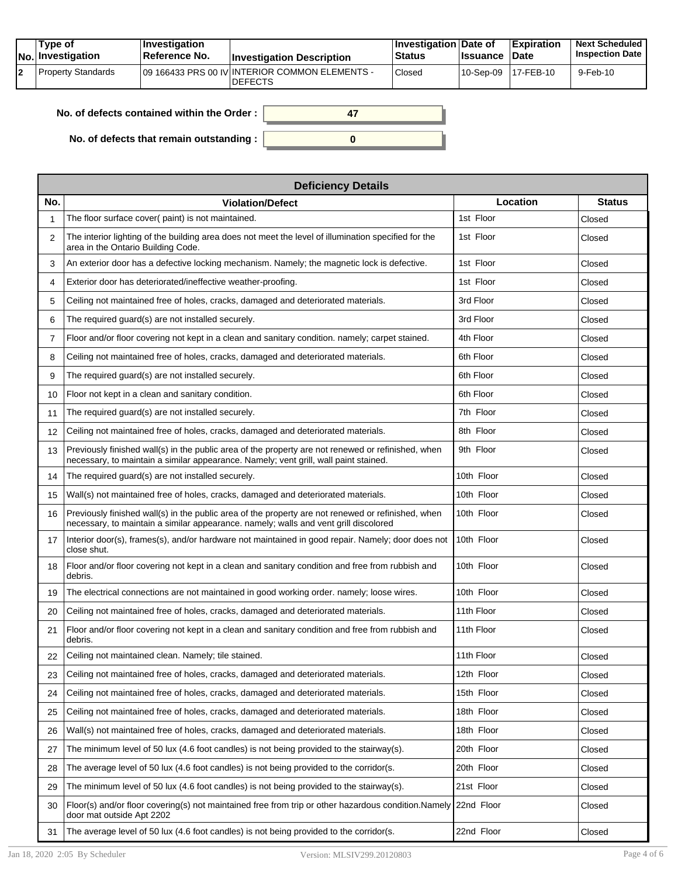| Type of<br>No. Investigation | <b>Investigation</b><br><b>Reference No.</b> | <b>Investigation Description</b>                                  | <b>Investigation Date of</b><br><b>Status</b> | <b>Issuance</b>     | <b>Expiration</b><br><b>Date</b> | <b>Next Scheduled</b><br><b>Inspection Date</b> |
|------------------------------|----------------------------------------------|-------------------------------------------------------------------|-----------------------------------------------|---------------------|----------------------------------|-------------------------------------------------|
| l Property Standards         |                                              | 109 166433 PRS 00 IV INTERIOR COMMON ELEMENTS -<br><b>DEFECTS</b> | Closed                                        | 10-Sep-09 17-FEB-10 |                                  | 9-Feb-10                                        |

| No. of defects contained within the Order: |  |
|--------------------------------------------|--|
| No. of defects that remain outstanding :   |  |

|                | <b>Deficiency Details</b>                                                                                                                                                                  |            |               |  |  |  |  |
|----------------|--------------------------------------------------------------------------------------------------------------------------------------------------------------------------------------------|------------|---------------|--|--|--|--|
| No.            | <b>Violation/Defect</b>                                                                                                                                                                    | Location   | <b>Status</b> |  |  |  |  |
| 1              | The floor surface cover( paint) is not maintained.                                                                                                                                         | 1st Floor  | Closed        |  |  |  |  |
| 2              | The interior lighting of the building area does not meet the level of illumination specified for the<br>area in the Ontario Building Code.                                                 | 1st Floor  | Closed        |  |  |  |  |
| 3              | An exterior door has a defective locking mechanism. Namely; the magnetic lock is defective.                                                                                                | 1st Floor  | Closed        |  |  |  |  |
| 4              | Exterior door has deteriorated/ineffective weather-proofing.                                                                                                                               | 1st Floor  | Closed        |  |  |  |  |
| 5              | Ceiling not maintained free of holes, cracks, damaged and deteriorated materials.                                                                                                          | 3rd Floor  | Closed        |  |  |  |  |
| 6              | The required guard(s) are not installed securely.                                                                                                                                          | 3rd Floor  | Closed        |  |  |  |  |
| $\overline{7}$ | Floor and/or floor covering not kept in a clean and sanitary condition. namely; carpet stained.                                                                                            | 4th Floor  | Closed        |  |  |  |  |
| 8              | Ceiling not maintained free of holes, cracks, damaged and deteriorated materials.                                                                                                          | 6th Floor  | Closed        |  |  |  |  |
| 9              | The required guard(s) are not installed securely.                                                                                                                                          | 6th Floor  | Closed        |  |  |  |  |
| 10             | Floor not kept in a clean and sanitary condition.                                                                                                                                          | 6th Floor  | Closed        |  |  |  |  |
| 11             | The required quard(s) are not installed securely.                                                                                                                                          | 7th Floor  | Closed        |  |  |  |  |
| 12             | Ceiling not maintained free of holes, cracks, damaged and deteriorated materials.                                                                                                          | 8th Floor  | Closed        |  |  |  |  |
| 13             | Previously finished wall(s) in the public area of the property are not renewed or refinished, when<br>necessary, to maintain a similar appearance. Namely; vent grill, wall paint stained. | 9th Floor  | Closed        |  |  |  |  |
| 14             | The required guard(s) are not installed securely.                                                                                                                                          | 10th Floor | Closed        |  |  |  |  |
| 15             | Wall(s) not maintained free of holes, cracks, damaged and deteriorated materials.                                                                                                          | 10th Floor | Closed        |  |  |  |  |
| 16             | Previously finished wall(s) in the public area of the property are not renewed or refinished, when<br>necessary, to maintain a similar appearance. namely; walls and vent grill discolored | 10th Floor | Closed        |  |  |  |  |
| 17             | Interior door(s), frames(s), and/or hardware not maintained in good repair. Namely; door does not<br>close shut.                                                                           | 10th Floor | Closed        |  |  |  |  |
| 18             | Floor and/or floor covering not kept in a clean and sanitary condition and free from rubbish and<br>debris.                                                                                | 10th Floor | Closed        |  |  |  |  |
| 19             | The electrical connections are not maintained in good working order, namely; loose wires.                                                                                                  | 10th Floor | Closed        |  |  |  |  |
| 20             | Ceiling not maintained free of holes, cracks, damaged and deteriorated materials.                                                                                                          | 11th Floor | Closed        |  |  |  |  |
| 21             | Floor and/or floor covering not kept in a clean and sanitary condition and free from rubbish and<br>debris.                                                                                | 11th Floor | Closed        |  |  |  |  |
| 22             | Ceiling not maintained clean. Namely; tile stained.                                                                                                                                        | 11th Floor | Closed        |  |  |  |  |
| 23             | Ceiling not maintained free of holes, cracks, damaged and deteriorated materials.                                                                                                          | 12th Floor | Closed        |  |  |  |  |
| 24             | Ceiling not maintained free of holes, cracks, damaged and deteriorated materials.                                                                                                          | 15th Floor | Closed        |  |  |  |  |
| 25             | Ceiling not maintained free of holes, cracks, damaged and deteriorated materials.                                                                                                          | 18th Floor | Closed        |  |  |  |  |
| 26             | Wall(s) not maintained free of holes, cracks, damaged and deteriorated materials.                                                                                                          | 18th Floor | Closed        |  |  |  |  |
| 27             | The minimum level of 50 lux (4.6 foot candles) is not being provided to the stairway(s).                                                                                                   | 20th Floor | Closed        |  |  |  |  |
| 28             | The average level of 50 lux (4.6 foot candles) is not being provided to the corridor(s.                                                                                                    | 20th Floor | Closed        |  |  |  |  |
| 29             | The minimum level of 50 lux (4.6 foot candles) is not being provided to the stairway(s).                                                                                                   | 21st Floor | Closed        |  |  |  |  |
| 30             | Floor(s) and/or floor covering(s) not maintained free from trip or other hazardous condition.Namely 22nd Floor<br>door mat outside Apt 2202                                                |            | Closed        |  |  |  |  |
| 31             | The average level of 50 lux (4.6 foot candles) is not being provided to the corridor(s.                                                                                                    | 22nd Floor | Closed        |  |  |  |  |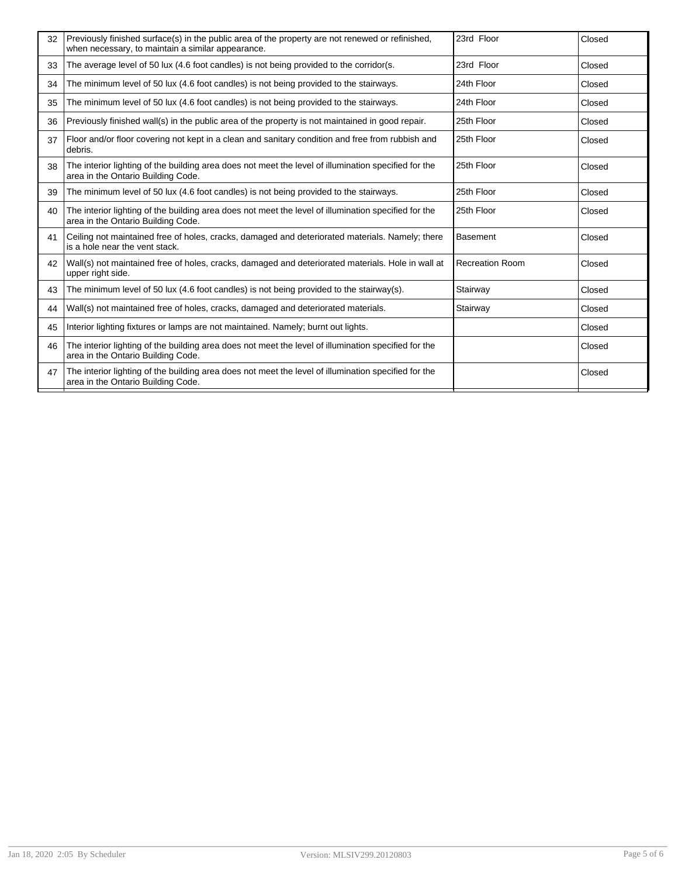| 32 | Previously finished surface(s) in the public area of the property are not renewed or refinished.<br>when necessary, to maintain a similar appearance. | 23rd Floor             | Closed |
|----|-------------------------------------------------------------------------------------------------------------------------------------------------------|------------------------|--------|
| 33 | The average level of 50 lux (4.6 foot candles) is not being provided to the corridor(s.                                                               | 23rd Floor             | Closed |
| 34 | The minimum level of 50 lux (4.6 foot candles) is not being provided to the stairways.                                                                | 24th Floor             | Closed |
| 35 | The minimum level of 50 lux (4.6 foot candles) is not being provided to the stairways.                                                                | 24th Floor             | Closed |
| 36 | Previously finished wall(s) in the public area of the property is not maintained in good repair.                                                      | 25th Floor             | Closed |
| 37 | Floor and/or floor covering not kept in a clean and sanitary condition and free from rubbish and<br>debris.                                           | 25th Floor             | Closed |
| 38 | The interior lighting of the building area does not meet the level of illumination specified for the<br>area in the Ontario Building Code.            | 25th Floor             | Closed |
| 39 | The minimum level of 50 lux (4.6 foot candles) is not being provided to the stairways.                                                                | 25th Floor             | Closed |
| 40 | The interior lighting of the building area does not meet the level of illumination specified for the<br>area in the Ontario Building Code.            | 25th Floor             | Closed |
| 41 | Ceiling not maintained free of holes, cracks, damaged and deteriorated materials. Namely; there<br>is a hole near the vent stack.                     | <b>Basement</b>        | Closed |
| 42 | Wall(s) not maintained free of holes, cracks, damaged and deteriorated materials. Hole in wall at<br>upper right side.                                | <b>Recreation Room</b> | Closed |
| 43 | The minimum level of 50 lux (4.6 foot candles) is not being provided to the stairway(s).                                                              | Stairway               | Closed |
| 44 | Wall(s) not maintained free of holes, cracks, damaged and deteriorated materials.                                                                     | Stairway               | Closed |
| 45 | Interior lighting fixtures or lamps are not maintained. Namely; burnt out lights.                                                                     |                        | Closed |
| 46 | The interior lighting of the building area does not meet the level of illumination specified for the<br>area in the Ontario Building Code.            |                        | Closed |
| 47 | The interior lighting of the building area does not meet the level of illumination specified for the<br>area in the Ontario Building Code.            |                        | Closed |